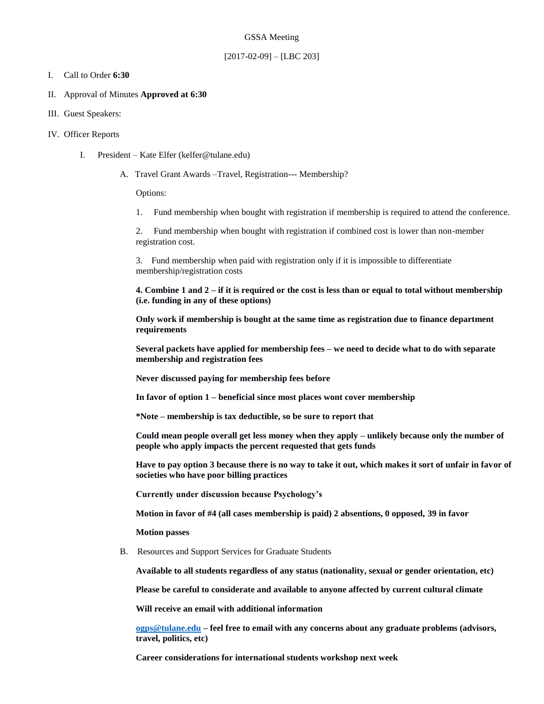#### GSSA Meeting

#### $[2017-02-09] - [LBC 203]$

#### I. Call to Order **6:30**

- II. Approval of Minutes **Approved at 6:30**
- III. Guest Speakers:
- IV. Officer Reports
	- I. President Kate Elfer (kelfer@tulane.edu)
		- A. Travel Grant Awards –Travel, Registration--- Membership?

Options:

1. Fund membership when bought with registration if membership is required to attend the conference.

2. Fund membership when bought with registration if combined cost is lower than non-member registration cost.

3. Fund membership when paid with registration only if it is impossible to differentiate membership/registration costs

**4. Combine 1 and 2 – if it is required or the cost is less than or equal to total without membership (i.e. funding in any of these options)**

**Only work if membership is bought at the same time as registration due to finance department requirements**

**Several packets have applied for membership fees – we need to decide what to do with separate membership and registration fees**

**Never discussed paying for membership fees before** 

**In favor of option 1 – beneficial since most places wont cover membership**

**\*Note – membership is tax deductible, so be sure to report that** 

**Could mean people overall get less money when they apply – unlikely because only the number of people who apply impacts the percent requested that gets funds** 

**Have to pay option 3 because there is no way to take it out, which makes it sort of unfair in favor of societies who have poor billing practices**

**Currently under discussion because Psychology's** 

**Motion in favor of #4 (all cases membership is paid) 2 absentions, 0 opposed, 39 in favor**

**Motion passes**

B. Resources and Support Services for Graduate Students

**Available to all students regardless of any status (nationality, sexual or gender orientation, etc)**

**Please be careful to considerate and available to anyone affected by current cultural climate**

**Will receive an email with additional information**

**[ogps@tulane.edu](mailto:ogps@tulane.edu) – feel free to email with any concerns about any graduate problems (advisors, travel, politics, etc)**

**Career considerations for international students workshop next week**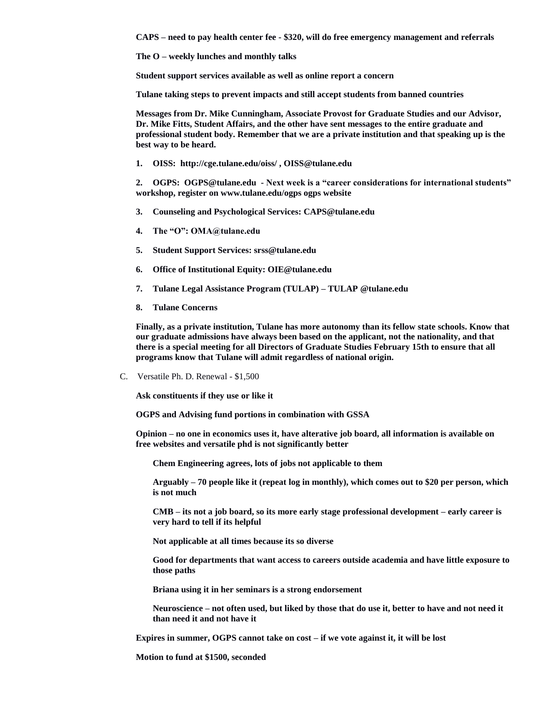**CAPS – need to pay health center fee - \$320, will do free emergency management and referrals** 

**The O – weekly lunches and monthly talks** 

**Student support services available as well as online report a concern**

**Tulane taking steps to prevent impacts and still accept students from banned countries**

**Messages from Dr. Mike Cunningham, Associate Provost for Graduate Studies and our Advisor, Dr. Mike Fitts, Student Affairs, and the other have sent messages to the entire graduate and professional student body. Remember that we are a private institution and that speaking up is the best way to be heard.** 

**1. OISS: http://cge.tulane.edu/oiss/ , OISS@tulane.edu**

**2. OGPS: OGPS@tulane.edu - Next week is a "career considerations for international students" workshop, register on www.tulane.edu/ogps ogps website**

- **3. Counseling and Psychological Services: CAPS@tulane.edu**
- **4. The "O": OMA@tulane.edu**
- **5. Student Support Services: srss@tulane.edu**
- **6. Office of Institutional Equity: OIE@tulane.edu**
- **7. Tulane Legal Assistance Program (TULAP) – TULAP @tulane.edu**
- **8. Tulane Concerns**

**Finally, as a private institution, Tulane has more autonomy than its fellow state schools. Know that our graduate admissions have always been based on the applicant, not the nationality, and that there is a special meeting for all Directors of Graduate Studies February 15th to ensure that all programs know that Tulane will admit regardless of national origin.**

C. Versatile Ph. D. Renewal - \$1,500

**Ask constituents if they use or like it**

**OGPS and Advising fund portions in combination with GSSA**

**Opinion – no one in economics uses it, have alterative job board, all information is available on free websites and versatile phd is not significantly better**

**Chem Engineering agrees, lots of jobs not applicable to them**

**Arguably – 70 people like it (repeat log in monthly), which comes out to \$20 per person, which is not much**

**CMB – its not a job board, so its more early stage professional development – early career is very hard to tell if its helpful**

**Not applicable at all times because its so diverse**

**Good for departments that want access to careers outside academia and have little exposure to those paths**

**Briana using it in her seminars is a strong endorsement**

**Neuroscience – not often used, but liked by those that do use it, better to have and not need it than need it and not have it**

**Expires in summer, OGPS cannot take on cost – if we vote against it, it will be lost**

**Motion to fund at \$1500, seconded**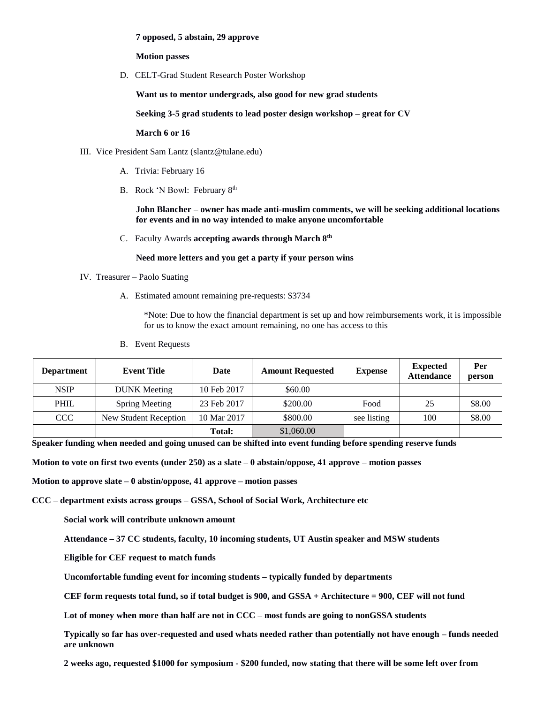#### **7 opposed, 5 abstain, 29 approve**

**Motion passes** 

D. CELT-Grad Student Research Poster Workshop

**Want us to mentor undergrads, also good for new grad students** 

**Seeking 3-5 grad students to lead poster design workshop – great for CV**

**March 6 or 16**

- III. Vice President Sam Lantz (slantz@tulane.edu)
	- A. Trivia: February 16
	- B. Rock 'N Bowl: February 8th

**John Blancher – owner has made anti-muslim comments, we will be seeking additional locations for events and in no way intended to make anyone uncomfortable**

C. Faculty Awards **accepting awards through March 8th**

**Need more letters and you get a party if your person wins**

- IV. Treasurer Paolo Suating
	- A. Estimated amount remaining pre-requests: \$3734

\*Note: Due to how the financial department is set up and how reimbursements work, it is impossible for us to know the exact amount remaining, no one has access to this

B. Event Requests

| <b>Department</b> | <b>Event Title</b>    | Date          | <b>Amount Requested</b> | <b>Expense</b> | <b>Expected</b><br><b>Attendance</b> | Per<br>person |
|-------------------|-----------------------|---------------|-------------------------|----------------|--------------------------------------|---------------|
| <b>NSIP</b>       | <b>DUNK</b> Meeting   | 10 Feb 2017   | \$60.00                 |                |                                      |               |
| <b>PHIL</b>       | Spring Meeting        | 23 Feb 2017   | \$200.00                | Food           | 25                                   | \$8.00        |
| <b>CCC</b>        | New Student Reception | 10 Mar 2017   | \$800.00                | see listing    | 100                                  | \$8.00        |
|                   |                       | <b>Total:</b> | \$1,060.00              |                |                                      |               |

**Speaker funding when needed and going unused can be shifted into event funding before spending reserve funds**

**Motion to vote on first two events (under 250) as a slate – 0 abstain/oppose, 41 approve – motion passes**

**Motion to approve slate – 0 abstin/oppose, 41 approve – motion passes**

**CCC – department exists across groups – GSSA, School of Social Work, Architecture etc**

**Social work will contribute unknown amount**

**Attendance – 37 CC students, faculty, 10 incoming students, UT Austin speaker and MSW students**

**Eligible for CEF request to match funds** 

**Uncomfortable funding event for incoming students – typically funded by departments**

**CEF form requests total fund, so if total budget is 900, and GSSA + Architecture = 900, CEF will not fund**

**Lot of money when more than half are not in CCC – most funds are going to nonGSSA students**

**Typically so far has over-requested and used whats needed rather than potentially not have enough – funds needed are unknown**

**2 weeks ago, requested \$1000 for symposium - \$200 funded, now stating that there will be some left over from**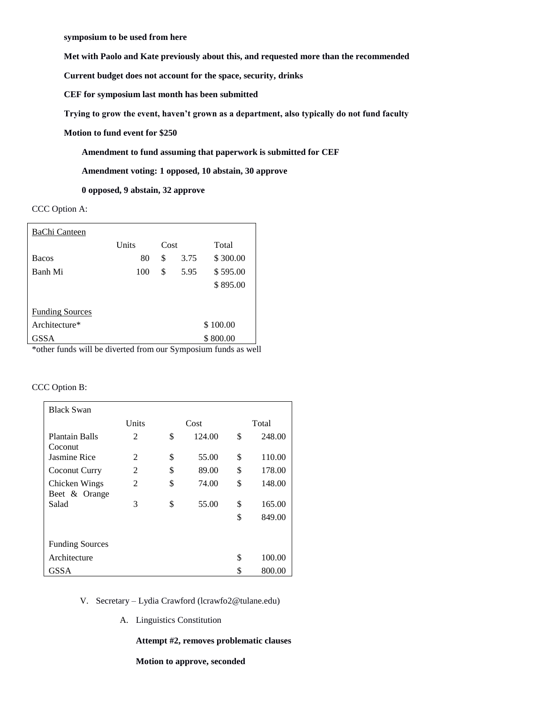**symposium to be used from here** 

**Met with Paolo and Kate previously about this, and requested more than the recommended** 

**Current budget does not account for the space, security, drinks**

**CEF for symposium last month has been submitted** 

**Trying to grow the event, haven't grown as a department, also typically do not fund faculty**

**Motion to fund event for \$250**

**Amendment to fund assuming that paperwork is submitted for CEF**

**Amendment voting: 1 opposed, 10 abstain, 30 approve**

**0 opposed, 9 abstain, 32 approve**

CCC Option A:

| BaChi Canteen                                                                                                                                                                                                                                                                                         |          |          |      |          |  |  |  |  |
|-------------------------------------------------------------------------------------------------------------------------------------------------------------------------------------------------------------------------------------------------------------------------------------------------------|----------|----------|------|----------|--|--|--|--|
|                                                                                                                                                                                                                                                                                                       | Units    | Cost     |      | Total    |  |  |  |  |
| <b>Bacos</b>                                                                                                                                                                                                                                                                                          | 80       | \$       | 3.75 | \$300.00 |  |  |  |  |
| Banh Mi                                                                                                                                                                                                                                                                                               | 100      | \$       | 5.95 | \$595.00 |  |  |  |  |
|                                                                                                                                                                                                                                                                                                       |          |          |      | \$895.00 |  |  |  |  |
|                                                                                                                                                                                                                                                                                                       |          |          |      |          |  |  |  |  |
| <b>Funding Sources</b>                                                                                                                                                                                                                                                                                |          |          |      |          |  |  |  |  |
| Architecture*                                                                                                                                                                                                                                                                                         | \$100.00 |          |      |          |  |  |  |  |
| GSSA<br>$\frac{1}{2}$ and $\frac{1}{2}$ and $\frac{1}{2}$ and $\frac{1}{2}$ and $\frac{1}{2}$ and $\frac{1}{2}$ and $\frac{1}{2}$ and $\frac{1}{2}$ and $\frac{1}{2}$ and $\frac{1}{2}$ and $\frac{1}{2}$ and $\frac{1}{2}$ and $\frac{1}{2}$ and $\frac{1}{2}$ and $\frac{1}{2}$ and $\frac{1}{2}$ a |          | \$800.00 |      |          |  |  |  |  |

\*other funds will be diverted from our Symposium funds as well

CCC Option B:

| <b>Black Swan</b>              |                |      |        |       |        |  |  |  |
|--------------------------------|----------------|------|--------|-------|--------|--|--|--|
|                                | Units          | Cost |        | Total |        |  |  |  |
| Plantain Balls<br>Coconut      | 2              | \$   | 124.00 | \$    | 248.00 |  |  |  |
| Jasmine Rice                   | $\mathfrak{D}$ | \$   | 55.00  | \$    | 110.00 |  |  |  |
| Coconut Curry                  | 2              | \$   | 89.00  | \$    | 178.00 |  |  |  |
| Chicken Wings<br>Beet & Orange | 2              | \$   | 74.00  | \$    | 148.00 |  |  |  |
| Salad                          | 3              | \$   | 55.00  | \$    | 165.00 |  |  |  |
|                                |                |      |        | \$    | 849.00 |  |  |  |
|                                |                |      |        |       |        |  |  |  |
| <b>Funding Sources</b>         |                |      |        |       |        |  |  |  |
| Architecture                   |                |      |        | S     | 100.00 |  |  |  |
| GSSA                           |                |      |        | \$    | 800.00 |  |  |  |

- V. Secretary Lydia Crawford (lcrawfo2@tulane.edu)
	- A. Linguistics Constitution

### **Attempt #2, removes problematic clauses**

**Motion to approve, seconded**